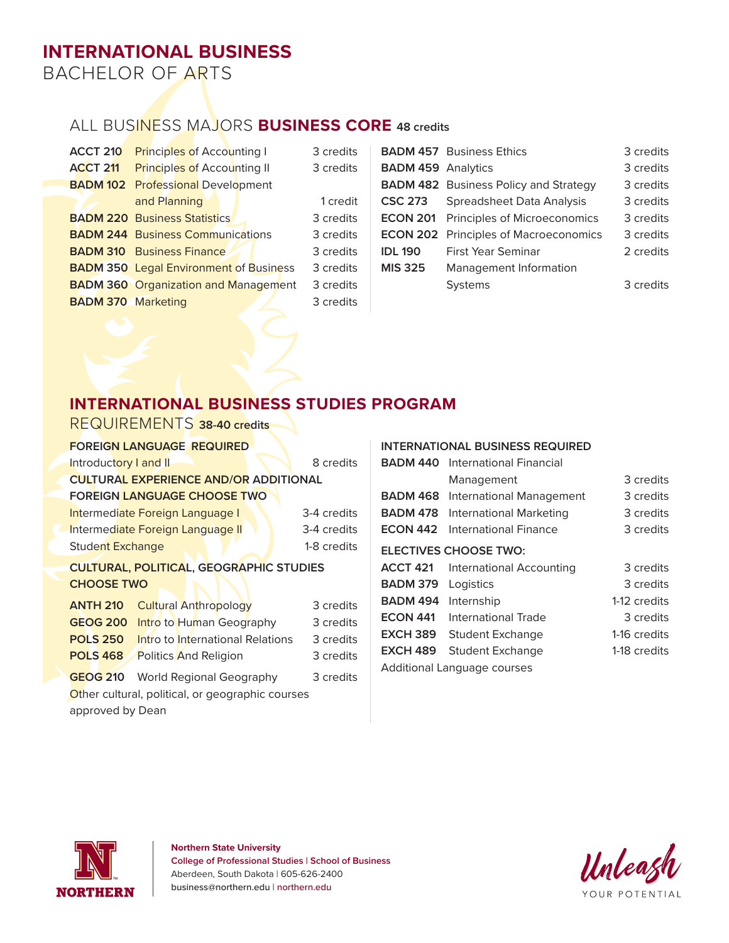# **INTERNATIONAL BUSINESS**

BACHELOR OF ARTS

## ALL BUSINESS MAJORS **BUSINESS CORE 48 credits**

| <b>ACCT 210</b>           | <b>Principles of Accounting I</b>             | 3 credits |                           | <b>BADM 457</b> Business Ethics              | 3 credits |
|---------------------------|-----------------------------------------------|-----------|---------------------------|----------------------------------------------|-----------|
| <b>ACCT 211</b>           | <b>Principles of Accounting II</b>            | 3 credits | <b>BADM 459 Analytics</b> |                                              | 3 credits |
| <b>BADM 102</b>           | <b>Professional Development</b>               |           |                           | <b>BADM 482</b> Business Policy and Strategy | 3 credits |
|                           | and Planning                                  | 1 credit  | <b>CSC 273</b>            | Spreadsheet Data Analysis                    | 3 credits |
|                           | <b>BADM 220 Business Statistics</b>           | 3 credits | <b>ECON 201</b>           | <b>Principles of Microeconomics</b>          | 3 credits |
|                           | <b>BADM 244 Business Communications</b>       | 3 credits |                           | <b>ECON 202</b> Principles of Macroeconomics | 3 credits |
|                           | <b>BADM 310</b> Business Finance              | 3 credits | <b>IDL 190</b>            | First Year Seminar                           | 2 credits |
|                           | <b>BADM 350 Legal Environment of Business</b> | 3 credits | <b>MIS 325</b>            | Management Information                       |           |
|                           | <b>BADM 360 Organization and Management</b>   | 3 credits |                           | <b>Systems</b>                               | 3 credits |
| <b>BADM 370 Marketing</b> |                                               | 3 credits |                           |                                              |           |
|                           |                                               |           |                           |                                              |           |

## **INTERNATIONAL BUSINESS STUDIES PROGRAM**

| REQUIREMENTS 38-40 credits                   |             |  |  |  |  |
|----------------------------------------------|-------------|--|--|--|--|
| <b>FOREIGN LANGUAGE REQUIRED</b>             |             |  |  |  |  |
| Introductory I and II                        | 8 credits   |  |  |  |  |
| <b>CULTURAL EXPERIENCE AND/OR ADDITIONAL</b> |             |  |  |  |  |
| <b>FOREIGN LANGUAGE CHOOSE TWO</b>           |             |  |  |  |  |
| Intermediate Foreign Language I              | 3-4 credits |  |  |  |  |
| Intermediate Foreign Language II             | 3-4 credits |  |  |  |  |
| <b>Student Exchange</b>                      | 1-8 credits |  |  |  |  |

#### **CULTURAL, POLITICAL, GEOGRAPHIC STUDIES CHOOSE TWO**

| <b>ANTH 210</b> Cultural Anthropology            | 3 credits |
|--------------------------------------------------|-----------|
| <b>GEOG 200</b> Intro to Human Geography         | 3 credits |
| <b>POLS 250</b> Intro to International Relations | 3 credits |
| <b>POLS 468</b> Politics And Religion            | 3 credits |
| <b>GEOG 210</b> World Regional Geography         | 3 credits |

Other cultural, political, or geographic courses approved by Dean

#### **INTERNATIONAL BUSINESS REQUIRED**

| <b>BADM 440</b>             | International Financial      |              |  |
|-----------------------------|------------------------------|--------------|--|
|                             | Management                   | 3 credits    |  |
| <b>BADM 468</b>             | International Management     | 3 credits    |  |
| <b>BADM 478</b>             | International Marketing      | 3 credits    |  |
| <b>ECON 442</b>             | International Finance        | 3 credits    |  |
|                             | <b>ELECTIVES CHOOSE TWO:</b> |              |  |
| <b>ACCT 421</b>             | International Accounting     | 3 credits    |  |
| <b>BADM 379</b>             | Logistics                    | 3 credits    |  |
| <b>BADM 494</b>             | Internship                   | 1-12 credits |  |
| <b>ECON 441</b>             | International Trade          | 3 credits    |  |
| <b>EXCH 389</b>             | Student Exchange             | 1-16 credits |  |
| <b>EXCH 489</b>             | <b>Student Exchange</b>      | 1-18 credits |  |
| Additional Language courses |                              |              |  |



**Northern State University College of Professional Studies | School of Business** Aberdeen, South Dakota | 605-626-2400 business@northern.edu | northern.edu